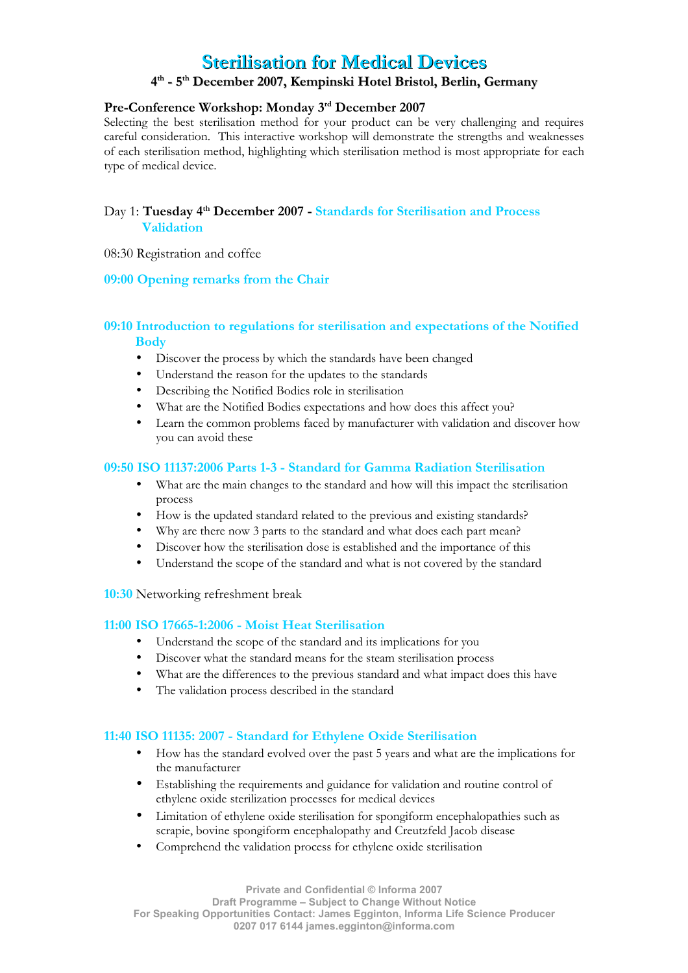# **Sterilisation for Medical Devices**

# **4 th - 5th December December 2007, Kempinski Kempinski Hotel Brist otel Bristol, Berlin, Berlin, Germany**

# **Pre-Conference Workshop: Monday 3rd December 2007**

Selecting the best sterilisation method for your product can be very challenging and requires careful consideration. This interactive workshop will demonstrate the strengths and weaknesses of each sterilisation method, highlighting which sterilisation method is most appropriate for each type of medical device.

# Day 1: **Tuesday 4th December 2007 - Standards for Sterilisation and Process Validation**

08:30 Registration and coffee

#### **09:00 Opening remarks from the Chair**

## **09:10 Introduction to regulations for sterilisation and expectations of the Notified Body**

- Discover the process by which the standards have been changed
- Understand the reason for the updates to the standards
- Describing the Notified Bodies role in sterilisation
- What are the Notified Bodies expectations and how does this affect you?
- Learn the common problems faced by manufacturer with validation and discover how you can avoid these

#### **09:50 ISO 11137:2006 Parts 1-3 - Standard for Gamma Radiation Sterilisation**

- What are the main changes to the standard and how will this impact the sterilisation process
- How is the updated standard related to the previous and existing standards?
- Why are there now 3 parts to the standard and what does each part mean?
- Discover how the sterilisation dose is established and the importance of this
- Understand the scope of the standard and what is not covered by the standard

**10:30** Networking refreshment break

#### **11:00 ISO 17665-1:2006 - Moist Heat Sterilisation**

- Understand the scope of the standard and its implications for you
- Discover what the standard means for the steam sterilisation process
- What are the differences to the previous standard and what impact does this have
- The validation process described in the standard

#### **11:40 ISO 11135: 2007 - Standard for Ethylene Oxide Sterilisation**

- How has the standard evolved over the past 5 years and what are the implications for the manufacturer
- Establishing the requirements and guidance for validation and routine control of ethylene oxide sterilization processes for medical devices
- Limitation of ethylene oxide sterilisation for spongiform encephalopathies such as scrapie, bovine spongiform encephalopathy and Creutzfeld Jacob disease
- Comprehend the validation process for ethylene oxide sterilisation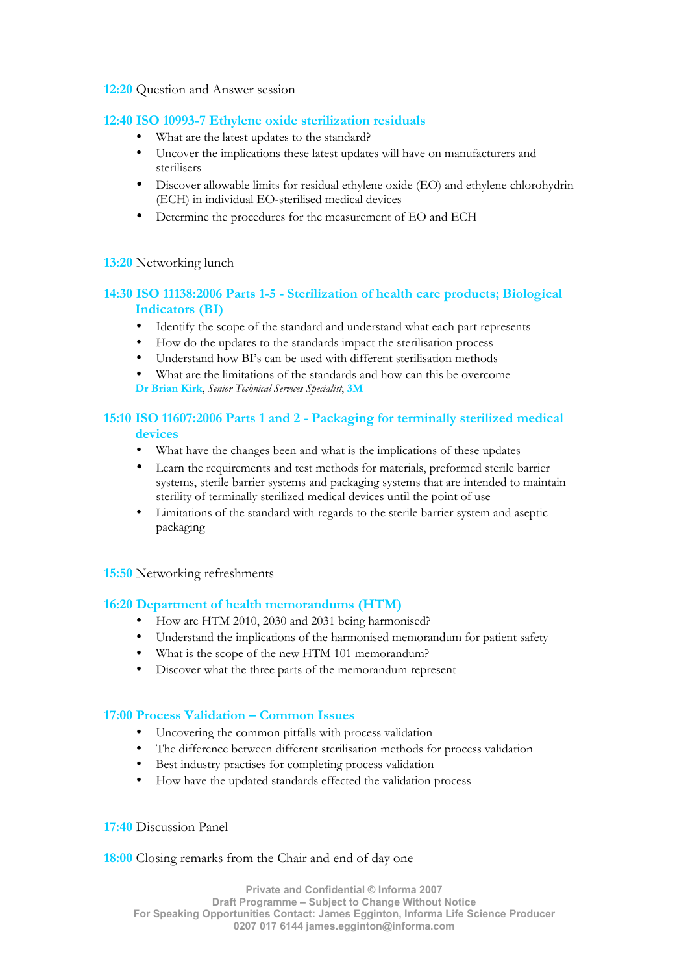#### **12:20** Question and Answer session

#### **12:40 ISO 10993-7 Ethylene oxide sterilization residuals**

- What are the latest updates to the standard?
- Uncover the implications these latest updates will have on manufacturers and sterilisers
- Discover allowable limits for residual ethylene oxide (EO) and ethylene chlorohydrin (ECH) in individual EO-sterilised medical devices
- Determine the procedures for the measurement of EO and ECH

#### **13:20** Networking lunch

# **14:30 ISO 11138:2006 Parts 1-5 - Sterilization of health care products; Biological Indicators (BI)**

- Identify the scope of the standard and understand what each part represents
- How do the updates to the standards impact the sterilisation process
- Understand how BI's can be used with different sterilisation methods
- What are the limitations of the standards and how can this be overcome **Dr Brian Kirk**, *Senior Technical Services Specialist*, **3M**

# **15:10 ISO 11607:2006 Parts 1 and 2 - Packaging for terminally sterilized medical devices**

- What have the changes been and what is the implications of these updates
- Learn the requirements and test methods for materials, preformed sterile barrier systems, sterile barrier systems and packaging systems that are intended to maintain sterility of terminally sterilized medical devices until the point of use
- Limitations of the standard with regards to the sterile barrier system and aseptic packaging

#### **15:50** Networking refreshments

## **16:20 Department of health memorandums (HTM)**

- How are HTM 2010, 2030 and 2031 being harmonised?
- Understand the implications of the harmonised memorandum for patient safety
- What is the scope of the new HTM 101 memorandum?
- Discover what the three parts of the memorandum represent

#### **17:00 Process Validation – Common Issues**

- Uncovering the common pitfalls with process validation
- The difference between different sterilisation methods for process validation
- Best industry practises for completing process validation
- How have the updated standards effected the validation process

## **17:40** Discussion Panel

#### **18:00** Closing remarks from the Chair and end of day one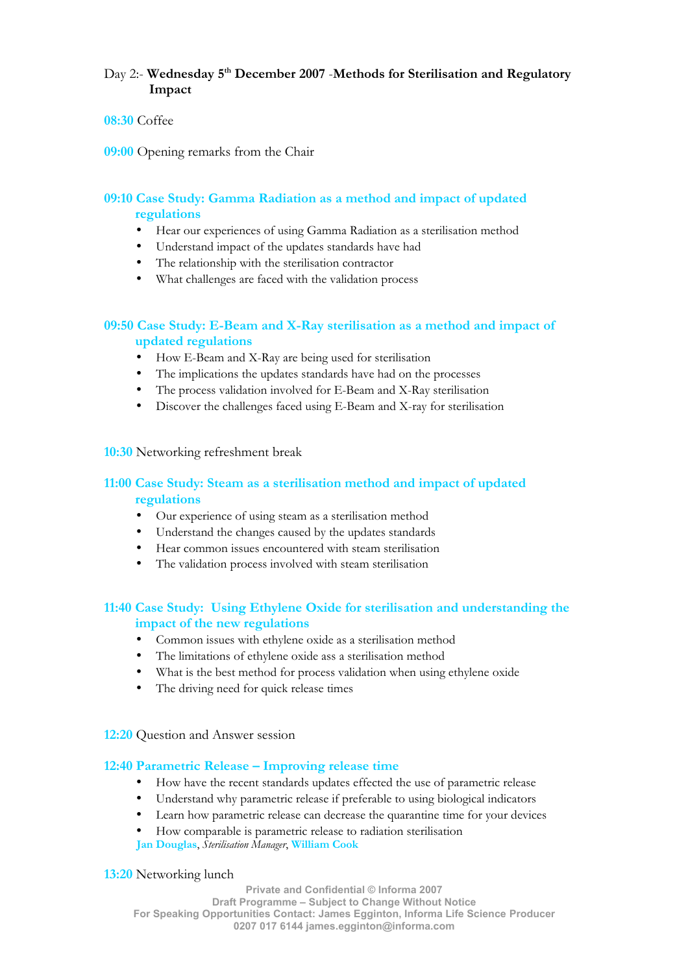# Day 2:- **Wednesday 5th December 2007** -**Methods for Sterilisation and Regulatory Impact**

#### **08:30** Coffee

**09:00** Opening remarks from the Chair

# **09:10 Case Study: Gamma Radiation as a method and impact of updated regulations**

- Hear our experiences of using Gamma Radiation as a sterilisation method
- Understand impact of the updates standards have had
- The relationship with the sterilisation contractor
- What challenges are faced with the validation process

# **09:50 Case Study: E-Beam and X-Ray sterilisation as a method and impact of updated regulations**

- How E-Beam and X-Ray are being used for sterilisation
- The implications the updates standards have had on the processes
- The process validation involved for E-Beam and X-Ray sterilisation
- Discover the challenges faced using E-Beam and X-ray for sterilisation

#### **10:30** Networking refreshment break

# **11:00 Case Study: Steam as a sterilisation method and impact of updated regulations**

- Our experience of using steam as a sterilisation method
- Understand the changes caused by the updates standards
- Hear common issues encountered with steam sterilisation
- The validation process involved with steam sterilisation

## **11:40 Case Study: Using Ethylene Oxide for sterilisation and understanding the impact of the new regulations**

- Common issues with ethylene oxide as a sterilisation method
- The limitations of ethylene oxide ass a sterilisation method
- What is the best method for process validation when using ethylene oxide
- The driving need for quick release times

**12:20** Question and Answer session

#### **12:40 Parametric Release – Improving release time**

- How have the recent standards updates effected the use of parametric release
- Understand why parametric release if preferable to using biological indicators
- Learn how parametric release can decrease the quarantine time for your devices
- How comparable is parametric release to radiation sterilisation
- **Jan Douglas**, *Sterilisation Manager*, **William Cook**

#### **13:20** Networking lunch

**Private and Confidential © Informa 2007 Draft Programme – Subject to Change Without Notice For Speaking Opportunities Contact: James Egginton, Informa Life Science Producer 0207 017 6144 [james.egginton@informa.com](mailto:james.egginton@informa.com)**